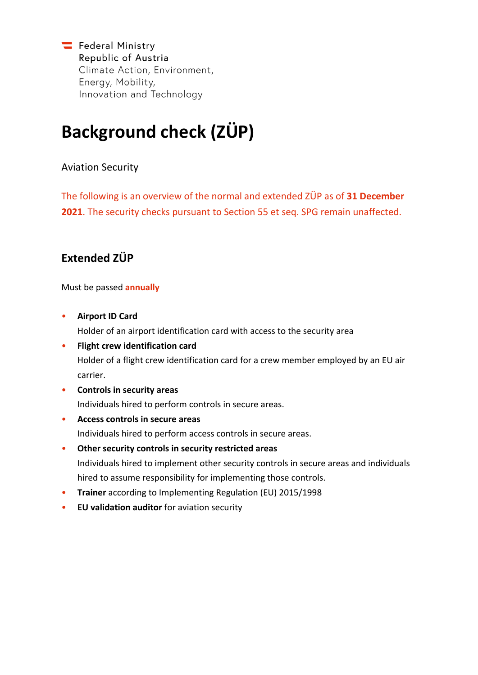Federal Ministry Republic of Austria Climate Action, Environment, Energy, Mobility, Innovation and Technology

# **Background check (ZÜP)**

### Aviation Security

The following is an overview of the normal and extended ZÜP as of **31 December 2021**. The security checks pursuant to Section 55 et seq. SPG remain unaffected.

## **Extended ZÜP**

Must be passed **annually**

- **Airport ID Card** Holder of an airport identification card with access to the security area
- **Flight crew identification card** Holder of a flight crew identification card for a crew member employed by an EU air carrier.
- **Controls in security areas** Individuals hired to perform controls in secure areas.
- **Access controls in secure areas** Individuals hired to perform access controls in secure areas.
- **Other security controls in security restricted areas** Individuals hired to implement other security controls in secure areas and individuals hired to assume responsibility for implementing those controls.
- **Trainer** according to Implementing Regulation (EU) 2015/1998
- **EU validation auditor** for aviation security